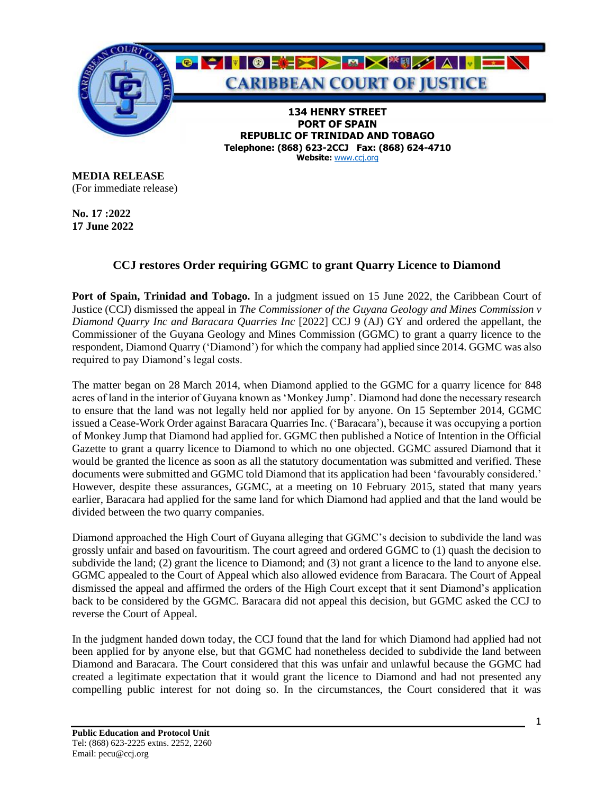

**Telephone: (868) 623-2CCJ Fax: (868) 624-4710 Website:** [www.ccj.org](http://www.ccj.org/)

**MEDIA RELEASE** (For immediate release)

**No. 17 :2022 17 June 2022**

## **CCJ restores Order requiring GGMC to grant Quarry Licence to Diamond**

**Port of Spain, Trinidad and Tobago.** In a judgment issued on 15 June 2022, the Caribbean Court of Justice (CCJ) dismissed the appeal in *The Commissioner of the Guyana Geology and Mines Commission v Diamond Quarry Inc and Baracara Quarries Inc* [2022] CCJ 9 (AJ) GY and ordered the appellant, the Commissioner of the Guyana Geology and Mines Commission (GGMC) to grant a quarry licence to the respondent, Diamond Quarry ('Diamond') for which the company had applied since 2014. GGMC was also required to pay Diamond's legal costs.

The matter began on 28 March 2014, when Diamond applied to the GGMC for a quarry licence for 848 acres of land in the interior of Guyana known as 'Monkey Jump'. Diamond had done the necessary research to ensure that the land was not legally held nor applied for by anyone. On 15 September 2014, GGMC issued a Cease-Work Order against Baracara Quarries Inc. ('Baracara'), because it was occupying a portion of Monkey Jump that Diamond had applied for. GGMC then published a Notice of Intention in the Official Gazette to grant a quarry licence to Diamond to which no one objected. GGMC assured Diamond that it would be granted the licence as soon as all the statutory documentation was submitted and verified. These documents were submitted and GGMC told Diamond that its application had been 'favourably considered.' However, despite these assurances, GGMC, at a meeting on 10 February 2015, stated that many years earlier, Baracara had applied for the same land for which Diamond had applied and that the land would be divided between the two quarry companies.

Diamond approached the High Court of Guyana alleging that GGMC's decision to subdivide the land was grossly unfair and based on favouritism. The court agreed and ordered GGMC to (1) quash the decision to subdivide the land; (2) grant the licence to Diamond; and (3) not grant a licence to the land to anyone else. GGMC appealed to the Court of Appeal which also allowed evidence from Baracara. The Court of Appeal dismissed the appeal and affirmed the orders of the High Court except that it sent Diamond's application back to be considered by the GGMC. Baracara did not appeal this decision, but GGMC asked the CCJ to reverse the Court of Appeal.

In the judgment handed down today, the CCJ found that the land for which Diamond had applied had not been applied for by anyone else, but that GGMC had nonetheless decided to subdivide the land between Diamond and Baracara. The Court considered that this was unfair and unlawful because the GGMC had created a legitimate expectation that it would grant the licence to Diamond and had not presented any compelling public interest for not doing so. In the circumstances, the Court considered that it was